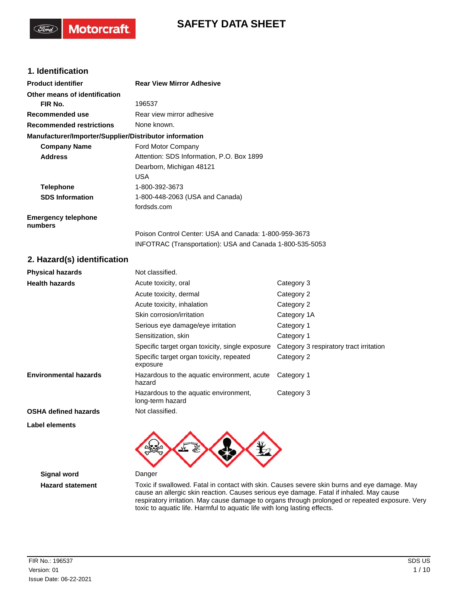# **SAFETY DATA SHEET**

### **1. Identification**

**Motorcraft** 

| <b>Product identifier</b>                              | <b>Rear View Mirror Adhesive</b>                          |                                         |  |
|--------------------------------------------------------|-----------------------------------------------------------|-----------------------------------------|--|
| Other means of identification                          |                                                           |                                         |  |
| FIR No.                                                | 196537                                                    |                                         |  |
| Recommended use                                        | Rear view mirror adhesive                                 |                                         |  |
| <b>Recommended restrictions</b>                        | None known.                                               |                                         |  |
| Manufacturer/Importer/Supplier/Distributor information |                                                           |                                         |  |
| <b>Company Name</b>                                    | Ford Motor Company                                        |                                         |  |
| <b>Address</b>                                         | Attention: SDS Information, P.O. Box 1899                 |                                         |  |
|                                                        | Dearborn, Michigan 48121                                  |                                         |  |
|                                                        | USA                                                       |                                         |  |
| <b>Telephone</b>                                       | 1-800-392-3673                                            |                                         |  |
| <b>SDS Information</b>                                 | 1-800-448-2063 (USA and Canada)                           |                                         |  |
|                                                        | fordsds.com                                               |                                         |  |
| <b>Emergency telephone</b><br>numbers                  |                                                           |                                         |  |
|                                                        | Poison Control Center: USA and Canada: 1-800-959-3673     |                                         |  |
|                                                        | INFOTRAC (Transportation): USA and Canada 1-800-535-5053  |                                         |  |
| 2. Hazard(s) identification                            |                                                           |                                         |  |
| <b>Physical hazards</b>                                | Not classified.                                           |                                         |  |
| <b>Health hazards</b>                                  | Acute toxicity, oral                                      | Category 3                              |  |
|                                                        | Acute toxicity, dermal                                    | Category 2                              |  |
|                                                        | Acute toxicity, inhalation                                | Category 2                              |  |
|                                                        | Skin corrosion/irritation                                 | Category 1A                             |  |
|                                                        | Serious eye damage/eye irritation                         | Category 1                              |  |
|                                                        | Sensitization, skin                                       | Category 1                              |  |
|                                                        | Specific target organ toxicity, single exposure           | Category 3 respiratory tract irritation |  |
|                                                        | Specific target organ toxicity, repeated<br>exposure      | Category 2                              |  |
| <b>Environmental hazards</b>                           | Hazardous to the aquatic environment, acute<br>hazard     | Category 1                              |  |
|                                                        | Hazardous to the aquatic environment,<br>long-term hazard | Category 3                              |  |
| <b>OSHA defined hazards</b>                            | Not classified.                                           |                                         |  |



**Signal word** Danger

**Label elements**

**Hazard statement** Toxic if swallowed. Fatal in contact with skin. Causes severe skin burns and eye damage. May cause an allergic skin reaction. Causes serious eye damage. Fatal if inhaled. May cause respiratory irritation. May cause damage to organs through prolonged or repeated exposure. Very toxic to aquatic life. Harmful to aquatic life with long lasting effects.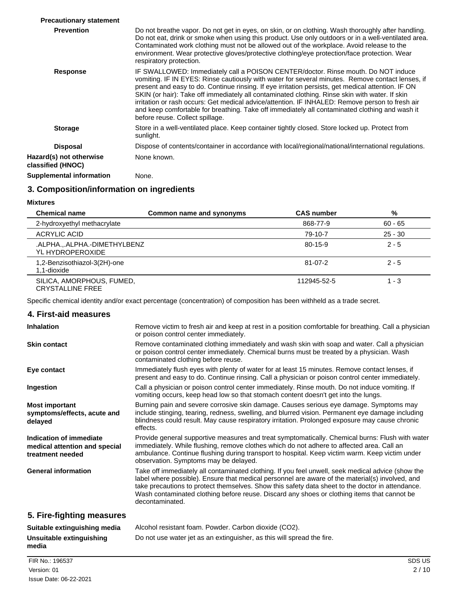| <b>Precautionary statement</b>               |                                                                                                                                                                                                                                                                                                                                                                                                                                                                                                                                                                                                                                       |
|----------------------------------------------|---------------------------------------------------------------------------------------------------------------------------------------------------------------------------------------------------------------------------------------------------------------------------------------------------------------------------------------------------------------------------------------------------------------------------------------------------------------------------------------------------------------------------------------------------------------------------------------------------------------------------------------|
| <b>Prevention</b>                            | Do not breathe vapor. Do not get in eyes, on skin, or on clothing. Wash thoroughly after handling.<br>Do not eat, drink or smoke when using this product. Use only outdoors or in a well-ventilated area.<br>Contaminated work clothing must not be allowed out of the workplace. Avoid release to the<br>environment. Wear protective gloves/protective clothing/eye protection/face protection. Wear<br>respiratory protection.                                                                                                                                                                                                     |
| <b>Response</b>                              | IF SWALLOWED: Immediately call a POISON CENTER/doctor. Rinse mouth. Do NOT induce<br>vomiting. IF IN EYES: Rinse cautiously with water for several minutes. Remove contact lenses, if<br>present and easy to do. Continue rinsing. If eye irritation persists, get medical attention. IF ON<br>SKIN (or hair): Take off immediately all contaminated clothing. Rinse skin with water. If skin<br>irritation or rash occurs: Get medical advice/attention. IF INHALED: Remove person to fresh air<br>and keep comfortable for breathing. Take off immediately all contaminated clothing and wash it<br>before reuse. Collect spillage. |
| <b>Storage</b>                               | Store in a well-ventilated place. Keep container tightly closed. Store locked up. Protect from<br>sunlight.                                                                                                                                                                                                                                                                                                                                                                                                                                                                                                                           |
| <b>Disposal</b>                              | Dispose of contents/container in accordance with local/regional/national/international regulations.                                                                                                                                                                                                                                                                                                                                                                                                                                                                                                                                   |
| Hazard(s) not otherwise<br>classified (HNOC) | None known.                                                                                                                                                                                                                                                                                                                                                                                                                                                                                                                                                                                                                           |
| <b>Supplemental information</b>              | None.                                                                                                                                                                                                                                                                                                                                                                                                                                                                                                                                                                                                                                 |

### **3. Composition/information on ingredients**

**Mixtures**

| <b>Chemical name</b>                                 | Common name and synonyms | <b>CAS</b> number | %         |
|------------------------------------------------------|--------------------------|-------------------|-----------|
| 2-hydroxyethyl methacrylate                          |                          | 868-77-9          | $60 - 65$ |
| ACRYLIC ACID                                         |                          | 79-10-7           | $25 - 30$ |
| .ALPHAALPHA.-DIMETHYLBENZ<br>YL HYDROPEROXIDE        |                          | $80 - 15 - 9$     | $2 - 5$   |
| 1,2-Benzisothiazol-3(2H)-one<br>1.1-dioxide          |                          | $81 - 07 - 2$     | $2 - 5$   |
| SILICA, AMORPHOUS, FUMED,<br><b>CRYSTALLINE FREE</b> |                          | 112945-52-5       | $1 - 3$   |

Specific chemical identity and/or exact percentage (concentration) of composition has been withheld as a trade secret.

| 4. First-aid measures                                                        |                                                                                                                                                                                                                                                                                                                                                                                                                            |
|------------------------------------------------------------------------------|----------------------------------------------------------------------------------------------------------------------------------------------------------------------------------------------------------------------------------------------------------------------------------------------------------------------------------------------------------------------------------------------------------------------------|
| <b>Inhalation</b>                                                            | Remove victim to fresh air and keep at rest in a position comfortable for breathing. Call a physician<br>or poison control center immediately.                                                                                                                                                                                                                                                                             |
| <b>Skin contact</b>                                                          | Remove contaminated clothing immediately and wash skin with soap and water. Call a physician<br>or poison control center immediately. Chemical burns must be treated by a physician. Wash<br>contaminated clothing before reuse.                                                                                                                                                                                           |
| Eye contact                                                                  | Immediately flush eyes with plenty of water for at least 15 minutes. Remove contact lenses, if<br>present and easy to do. Continue rinsing. Call a physician or poison control center immediately.                                                                                                                                                                                                                         |
| Ingestion                                                                    | Call a physician or poison control center immediately. Rinse mouth. Do not induce vomiting. If<br>vomiting occurs, keep head low so that stomach content doesn't get into the lungs.                                                                                                                                                                                                                                       |
| <b>Most important</b><br>symptoms/effects, acute and<br>delayed              | Burning pain and severe corrosive skin damage. Causes serious eye damage. Symptoms may<br>include stinging, tearing, redness, swelling, and blurred vision. Permanent eye damage including<br>blindness could result. May cause respiratory irritation. Prolonged exposure may cause chronic<br>effects.                                                                                                                   |
| Indication of immediate<br>medical attention and special<br>treatment needed | Provide general supportive measures and treat symptomatically. Chemical burns: Flush with water<br>immediately. While flushing, remove clothes which do not adhere to affected area. Call an<br>ambulance. Continue flushing during transport to hospital. Keep victim warm. Keep victim under<br>observation. Symptoms may be delayed.                                                                                    |
| <b>General information</b>                                                   | Take off immediately all contaminated clothing. If you feel unwell, seek medical advice (show the<br>label where possible). Ensure that medical personnel are aware of the material(s) involved, and<br>take precautions to protect themselves. Show this safety data sheet to the doctor in attendance.<br>Wash contaminated clothing before reuse. Discard any shoes or clothing items that cannot be<br>decontaminated. |
| 5. Fire-fighting measures                                                    |                                                                                                                                                                                                                                                                                                                                                                                                                            |
| Suitable extinguishing media                                                 | Alcohol resistant foam. Powder. Carbon dioxide (CO2).                                                                                                                                                                                                                                                                                                                                                                      |
| Unsuitable extinguishing                                                     | Do not use water jet as an extinguisher, as this will spread the fire.                                                                                                                                                                                                                                                                                                                                                     |

FIR No.: 196537 SDS US Issue Date: 06-22-2021 Version: 01 2 / 10

**media**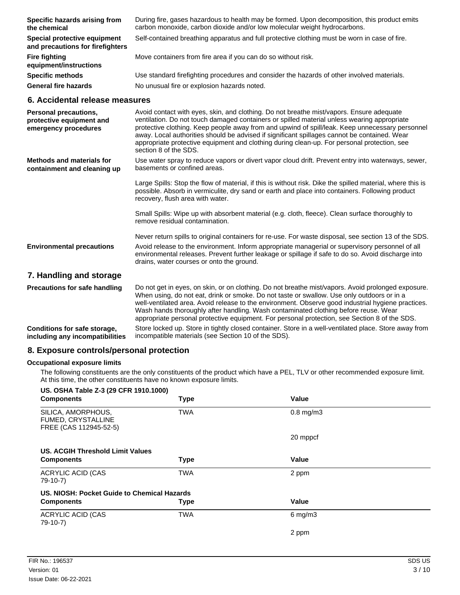| Specific hazards arising from<br>the chemical                    | During fire, gases hazardous to health may be formed. Upon decomposition, this product emits<br>carbon monoxide, carbon dioxide and/or low molecular weight hydrocarbons. |
|------------------------------------------------------------------|---------------------------------------------------------------------------------------------------------------------------------------------------------------------------|
| Special protective equipment<br>and precautions for firefighters | Self-contained breathing apparatus and full protective clothing must be worn in case of fire.                                                                             |
| <b>Fire fighting</b><br>equipment/instructions                   | Move containers from fire area if you can do so without risk.                                                                                                             |
| <b>Specific methods</b>                                          | Use standard firefighting procedures and consider the hazards of other involved materials.                                                                                |
| <b>General fire hazards</b>                                      | No unusual fire or explosion hazards noted.                                                                                                                               |

### **6. Accidental release measures**

| Personal precautions,<br>protective equipment and<br>emergency procedures | Avoid contact with eyes, skin, and clothing. Do not breathe mist/vapors. Ensure adequate<br>ventilation. Do not touch damaged containers or spilled material unless wearing appropriate<br>protective clothing. Keep people away from and upwind of spill/leak. Keep unnecessary personnel<br>away. Local authorities should be advised if significant spillages cannot be contained. Wear<br>appropriate protective equipment and clothing during clean-up. For personal protection, see<br>section 8 of the SDS.                                                    |
|---------------------------------------------------------------------------|-----------------------------------------------------------------------------------------------------------------------------------------------------------------------------------------------------------------------------------------------------------------------------------------------------------------------------------------------------------------------------------------------------------------------------------------------------------------------------------------------------------------------------------------------------------------------|
| <b>Methods and materials for</b><br>containment and cleaning up           | Use water spray to reduce vapors or divert vapor cloud drift. Prevent entry into waterways, sewer,<br>basements or confined areas.                                                                                                                                                                                                                                                                                                                                                                                                                                    |
|                                                                           | Large Spills: Stop the flow of material, if this is without risk. Dike the spilled material, where this is<br>possible. Absorb in vermiculite, dry sand or earth and place into containers. Following product<br>recovery, flush area with water.                                                                                                                                                                                                                                                                                                                     |
|                                                                           | Small Spills: Wipe up with absorbent material (e.g. cloth, fleece). Clean surface thoroughly to<br>remove residual contamination.                                                                                                                                                                                                                                                                                                                                                                                                                                     |
|                                                                           | Never return spills to original containers for re-use. For waste disposal, see section 13 of the SDS.                                                                                                                                                                                                                                                                                                                                                                                                                                                                 |
| <b>Environmental precautions</b>                                          | Avoid release to the environment. Inform appropriate managerial or supervisory personnel of all<br>environmental releases. Prevent further leakage or spillage if safe to do so. Avoid discharge into<br>drains, water courses or onto the ground.                                                                                                                                                                                                                                                                                                                    |
| 7. Handling and storage                                                   |                                                                                                                                                                                                                                                                                                                                                                                                                                                                                                                                                                       |
| <b>Precautions for safe handling</b>                                      | Do not get in eyes, on skin, or on clothing. Do not breathe mist/vapors. Avoid prolonged exposure.<br>When using, do not eat, drink or smoke. Do not taste or swallow. Use only outdoors or in a<br>well-ventilated area. Avoid release to the environment. Observe good industrial hygiene practices.<br>Wash hands thoroughly after handling. Wash contaminated clothing before reuse. Wear<br>appropriate personal protective equipment. For personal protection, see Section 8 of the SDS.<br>المتواطئ والمستنبذ والمستنبذ والمستنبذ والمستنبذ والمستنبذ والمستنب |
|                                                                           |                                                                                                                                                                                                                                                                                                                                                                                                                                                                                                                                                                       |

Store locked up. Store in tightly closed container. Store in a well-ventilated place. Store away from incompatible materials (see Section 10 of the SDS). **Conditions for safe storage, including any incompatibilities**

### **8. Exposure controls/personal protection**

#### **Occupational exposure limits**

The following constituents are the only constituents of the product which have a PEL, TLV or other recommended exposure limit. At this time, the other constituents have no known exposure limits.

| US. OSHA Table Z-3 (29 CFR 1910.1000)                              |             |                |  |
|--------------------------------------------------------------------|-------------|----------------|--|
| <b>Components</b>                                                  | <b>Type</b> | Value          |  |
| SILICA, AMORPHOUS,<br>FUMED, CRYSTALLINE<br>FREE (CAS 112945-52-5) | <b>TWA</b>  | $0.8$ mg/m $3$ |  |
|                                                                    |             | 20 mppcf       |  |
| US. ACGIH Threshold Limit Values                                   |             |                |  |
| <b>Components</b>                                                  | Type        | Value          |  |
| <b>ACRYLIC ACID (CAS</b><br>79-10-7)                               | <b>TWA</b>  | 2 ppm          |  |
| US. NIOSH: Pocket Guide to Chemical Hazards                        |             |                |  |
| <b>Components</b>                                                  | <b>Type</b> | Value          |  |
| <b>ACRYLIC ACID (CAS</b><br>79-10-7)                               | <b>TWA</b>  | $6$ mg/m $3$   |  |
|                                                                    |             | 2 ppm          |  |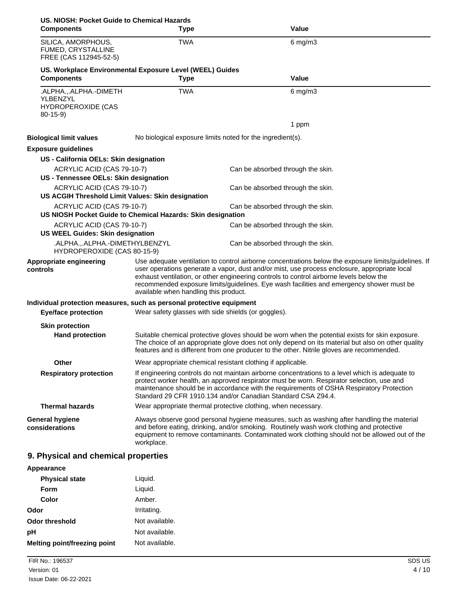| US. NIOSH: Pocket Guide to Chemical Hazards                                     |                                                                                                                                                                                                                                                                                                                                                                                                                                      |                                                                                                                                                                                                                                                                                                   |
|---------------------------------------------------------------------------------|--------------------------------------------------------------------------------------------------------------------------------------------------------------------------------------------------------------------------------------------------------------------------------------------------------------------------------------------------------------------------------------------------------------------------------------|---------------------------------------------------------------------------------------------------------------------------------------------------------------------------------------------------------------------------------------------------------------------------------------------------|
| <b>Components</b>                                                               | <b>Type</b>                                                                                                                                                                                                                                                                                                                                                                                                                          | <b>Value</b>                                                                                                                                                                                                                                                                                      |
| SILICA, AMORPHOUS,<br>FUMED, CRYSTALLINE<br>FREE (CAS 112945-52-5)              | <b>TWA</b>                                                                                                                                                                                                                                                                                                                                                                                                                           | $6$ mg/m $3$                                                                                                                                                                                                                                                                                      |
| <b>Components</b>                                                               | US. Workplace Environmental Exposure Level (WEEL) Guides<br><b>Type</b>                                                                                                                                                                                                                                                                                                                                                              | <b>Value</b>                                                                                                                                                                                                                                                                                      |
| .ALPHA.,.ALPHA.-DIMETH<br>YLBENZYL<br><b>HYDROPEROXIDE (CAS</b><br>$80-15-9$    | <b>TWA</b>                                                                                                                                                                                                                                                                                                                                                                                                                           | $6$ mg/m $3$                                                                                                                                                                                                                                                                                      |
|                                                                                 |                                                                                                                                                                                                                                                                                                                                                                                                                                      | 1 ppm                                                                                                                                                                                                                                                                                             |
| <b>Biological limit values</b>                                                  | No biological exposure limits noted for the ingredient(s).                                                                                                                                                                                                                                                                                                                                                                           |                                                                                                                                                                                                                                                                                                   |
| <b>Exposure guidelines</b>                                                      |                                                                                                                                                                                                                                                                                                                                                                                                                                      |                                                                                                                                                                                                                                                                                                   |
| US - California OELs: Skin designation                                          |                                                                                                                                                                                                                                                                                                                                                                                                                                      |                                                                                                                                                                                                                                                                                                   |
| ACRYLIC ACID (CAS 79-10-7)<br>US - Tennessee OELs: Skin designation             |                                                                                                                                                                                                                                                                                                                                                                                                                                      | Can be absorbed through the skin.                                                                                                                                                                                                                                                                 |
| ACRYLIC ACID (CAS 79-10-7)<br>US ACGIH Threshold Limit Values: Skin designation |                                                                                                                                                                                                                                                                                                                                                                                                                                      | Can be absorbed through the skin.                                                                                                                                                                                                                                                                 |
| ACRYLIC ACID (CAS 79-10-7)                                                      | US NIOSH Pocket Guide to Chemical Hazards: Skin designation                                                                                                                                                                                                                                                                                                                                                                          | Can be absorbed through the skin.                                                                                                                                                                                                                                                                 |
| ACRYLIC ACID (CAS 79-10-7)<br><b>US WEEL Guides: Skin designation</b>           | Can be absorbed through the skin.                                                                                                                                                                                                                                                                                                                                                                                                    |                                                                                                                                                                                                                                                                                                   |
| .ALPHA.,.ALPHA.-DIMETHYLBENZYL<br>HYDROPEROXIDE (CAS 80-15-9)                   | Can be absorbed through the skin.                                                                                                                                                                                                                                                                                                                                                                                                    |                                                                                                                                                                                                                                                                                                   |
| Appropriate engineering<br>controls                                             | Use adequate ventilation to control airborne concentrations below the exposure limits/guidelines. If<br>user operations generate a vapor, dust and/or mist, use process enclosure, appropriate local<br>exhaust ventilation, or other engineering controls to control airborne levels below the<br>recommended exposure limits/guidelines. Eye wash facilities and emergency shower must be<br>available when handling this product. |                                                                                                                                                                                                                                                                                                   |
| Individual protection measures, such as personal protective equipment           |                                                                                                                                                                                                                                                                                                                                                                                                                                      |                                                                                                                                                                                                                                                                                                   |
| <b>Eye/face protection</b>                                                      | Wear safety glasses with side shields (or goggles).                                                                                                                                                                                                                                                                                                                                                                                  |                                                                                                                                                                                                                                                                                                   |
| <b>Skin protection</b>                                                          |                                                                                                                                                                                                                                                                                                                                                                                                                                      |                                                                                                                                                                                                                                                                                                   |
| <b>Hand protection</b>                                                          |                                                                                                                                                                                                                                                                                                                                                                                                                                      | Suitable chemical protective gloves should be worn when the potential exists for skin exposure.<br>The choice of an appropriate glove does not only depend on its material but also on other quality<br>features and is different from one producer to the other. Nitrile gloves are recommended. |
| <b>Other</b>                                                                    | Wear appropriate chemical resistant clothing if applicable.                                                                                                                                                                                                                                                                                                                                                                          |                                                                                                                                                                                                                                                                                                   |
| <b>Respiratory protection</b>                                                   | If engineering controls do not maintain airborne concentrations to a level which is adequate to<br>protect worker health, an approved respirator must be worn. Respirator selection, use and<br>maintenance should be in accordance with the requirements of OSHA Respiratory Protection<br>Standard 29 CFR 1910.134 and/or Canadian Standard CSA Z94.4.                                                                             |                                                                                                                                                                                                                                                                                                   |
| <b>Thermal hazards</b>                                                          | Wear appropriate thermal protective clothing, when necessary.                                                                                                                                                                                                                                                                                                                                                                        |                                                                                                                                                                                                                                                                                                   |
| <b>General hygiene</b><br>considerations                                        | workplace.                                                                                                                                                                                                                                                                                                                                                                                                                           | Always observe good personal hygiene measures, such as washing after handling the material<br>and before eating, drinking, and/or smoking. Routinely wash work clothing and protective<br>equipment to remove contaminants. Contaminated work clothing should not be allowed out of the           |
| 9. Physical and chemical properties                                             |                                                                                                                                                                                                                                                                                                                                                                                                                                      |                                                                                                                                                                                                                                                                                                   |
| Appearance                                                                      |                                                                                                                                                                                                                                                                                                                                                                                                                                      |                                                                                                                                                                                                                                                                                                   |

| <b>Physical state</b>               | Liquid.        |
|-------------------------------------|----------------|
| Form                                | Liquid.        |
| Color                               | Amber.         |
| Odor                                | Irritating.    |
| <b>Odor threshold</b>               | Not available. |
| рH                                  | Not available. |
| <b>Melting point/freezing point</b> | Not available. |
|                                     |                |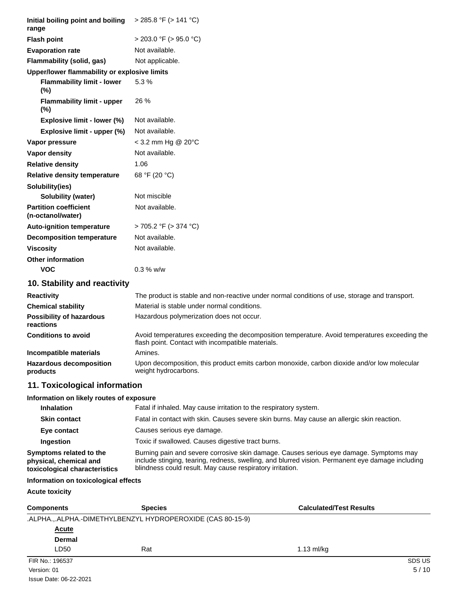| Initial boiling point and boiling<br>range                                         | $>$ 285.8 °F ( $>$ 141 °C)                                                                                                                                                                                                                              |                                |
|------------------------------------------------------------------------------------|---------------------------------------------------------------------------------------------------------------------------------------------------------------------------------------------------------------------------------------------------------|--------------------------------|
| <b>Flash point</b>                                                                 | $>$ 203.0 °F ( $>$ 95.0 °C)                                                                                                                                                                                                                             |                                |
| <b>Evaporation rate</b>                                                            | Not available.                                                                                                                                                                                                                                          |                                |
| Flammability (solid, gas)                                                          | Not applicable.                                                                                                                                                                                                                                         |                                |
| Upper/lower flammability or explosive limits                                       |                                                                                                                                                                                                                                                         |                                |
| <b>Flammability limit - lower</b><br>$(\%)$                                        | 5.3%                                                                                                                                                                                                                                                    |                                |
| <b>Flammability limit - upper</b><br>$(\%)$                                        | 26 %                                                                                                                                                                                                                                                    |                                |
| Explosive limit - lower (%)                                                        | Not available.                                                                                                                                                                                                                                          |                                |
| Explosive limit - upper (%)                                                        | Not available.                                                                                                                                                                                                                                          |                                |
| Vapor pressure                                                                     | $<$ 3.2 mm Hg @ 20 $^{\circ}$ C                                                                                                                                                                                                                         |                                |
| Vapor density                                                                      | Not available.                                                                                                                                                                                                                                          |                                |
| <b>Relative density</b>                                                            | 1.06                                                                                                                                                                                                                                                    |                                |
| <b>Relative density temperature</b>                                                | 68 °F (20 °C)                                                                                                                                                                                                                                           |                                |
| Solubility(ies)                                                                    |                                                                                                                                                                                                                                                         |                                |
| Solubility (water)                                                                 | Not miscible                                                                                                                                                                                                                                            |                                |
| <b>Partition coefficient</b><br>(n-octanol/water)                                  | Not available.                                                                                                                                                                                                                                          |                                |
| <b>Auto-ignition temperature</b>                                                   | $> 705.2$ °F ( $> 374$ °C)                                                                                                                                                                                                                              |                                |
| <b>Decomposition temperature</b>                                                   | Not available.                                                                                                                                                                                                                                          |                                |
| <b>Viscosity</b>                                                                   | Not available.                                                                                                                                                                                                                                          |                                |
| <b>Other information</b>                                                           |                                                                                                                                                                                                                                                         |                                |
| <b>VOC</b>                                                                         | $0.3 %$ w/w                                                                                                                                                                                                                                             |                                |
| 10. Stability and reactivity                                                       |                                                                                                                                                                                                                                                         |                                |
| <b>Reactivity</b>                                                                  | The product is stable and non-reactive under normal conditions of use, storage and transport.                                                                                                                                                           |                                |
| <b>Chemical stability</b>                                                          | Material is stable under normal conditions.                                                                                                                                                                                                             |                                |
| <b>Possibility of hazardous</b><br>reactions                                       | Hazardous polymerization does not occur.                                                                                                                                                                                                                |                                |
| <b>Conditions to avoid</b>                                                         | Avoid temperatures exceeding the decomposition temperature. Avoid temperatures exceeding the<br>flash point. Contact with incompatible materials.                                                                                                       |                                |
| Incompatible materials                                                             | Amines.                                                                                                                                                                                                                                                 |                                |
| <b>Hazardous decomposition</b><br>products                                         | Upon decomposition, this product emits carbon monoxide, carbon dioxide and/or low molecular<br>weight hydrocarbons.                                                                                                                                     |                                |
| 11. Toxicological information                                                      |                                                                                                                                                                                                                                                         |                                |
| Information on likely routes of exposure                                           |                                                                                                                                                                                                                                                         |                                |
| <b>Inhalation</b>                                                                  | Fatal if inhaled. May cause irritation to the respiratory system.                                                                                                                                                                                       |                                |
| <b>Skin contact</b>                                                                | Fatal in contact with skin. Causes severe skin burns. May cause an allergic skin reaction.                                                                                                                                                              |                                |
| Eye contact                                                                        | Causes serious eye damage.                                                                                                                                                                                                                              |                                |
| Ingestion                                                                          | Toxic if swallowed. Causes digestive tract burns.                                                                                                                                                                                                       |                                |
| Symptoms related to the<br>physical, chemical and<br>toxicological characteristics | Burning pain and severe corrosive skin damage. Causes serious eye damage. Symptoms may<br>include stinging, tearing, redness, swelling, and blurred vision. Permanent eye damage including<br>blindness could result. May cause respiratory irritation. |                                |
| Information on toxicological effects                                               |                                                                                                                                                                                                                                                         |                                |
| <b>Acute toxicity</b>                                                              |                                                                                                                                                                                                                                                         |                                |
| <b>Components</b>                                                                  | <b>Species</b>                                                                                                                                                                                                                                          | <b>Calculated/Test Results</b> |
|                                                                                    | .ALPHA.,.ALPHA.-DIMETHYLBENZYL HYDROPEROXIDE (CAS 80-15-9)                                                                                                                                                                                              |                                |

**Dermal**

LD50 Rat Rat 1.13 ml/kg

FIR No.: 196537 SDS US Issue Date: 06-22-2021 Version: 01 5 / 10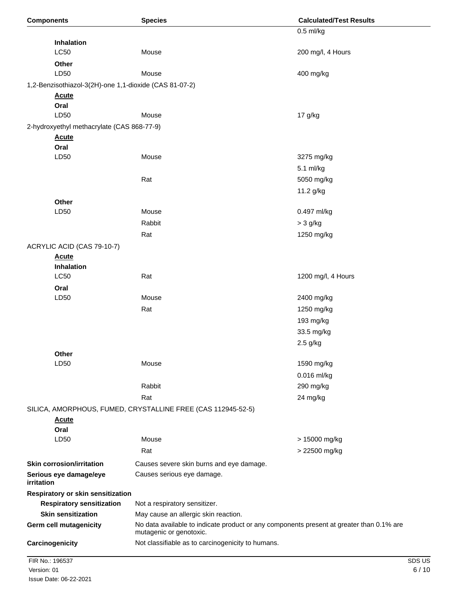| <b>Components</b>                                      | <b>Species</b>                                                                                                      | <b>Calculated/Test Results</b> |
|--------------------------------------------------------|---------------------------------------------------------------------------------------------------------------------|--------------------------------|
|                                                        |                                                                                                                     | $0.5$ ml/kg                    |
| <b>Inhalation</b>                                      |                                                                                                                     |                                |
| <b>LC50</b>                                            | Mouse                                                                                                               | 200 mg/l, 4 Hours              |
| Other                                                  |                                                                                                                     |                                |
| LD50                                                   | Mouse                                                                                                               | 400 mg/kg                      |
| 1,2-Benzisothiazol-3(2H)-one 1,1-dioxide (CAS 81-07-2) |                                                                                                                     |                                |
| <b>Acute</b>                                           |                                                                                                                     |                                |
| Oral                                                   |                                                                                                                     |                                |
| LD50                                                   | Mouse                                                                                                               | 17 g/kg                        |
| 2-hydroxyethyl methacrylate (CAS 868-77-9)             |                                                                                                                     |                                |
| <b>Acute</b>                                           |                                                                                                                     |                                |
| Oral                                                   |                                                                                                                     |                                |
| LD50                                                   | Mouse                                                                                                               | 3275 mg/kg                     |
|                                                        |                                                                                                                     | 5.1 ml/kg                      |
|                                                        | Rat                                                                                                                 | 5050 mg/kg                     |
|                                                        |                                                                                                                     | 11.2 g/kg                      |
| Other                                                  |                                                                                                                     |                                |
| LD50                                                   | Mouse                                                                                                               | 0.497 ml/kg                    |
|                                                        | Rabbit                                                                                                              | $>$ 3 g/kg                     |
|                                                        | Rat                                                                                                                 | 1250 mg/kg                     |
| ACRYLIC ACID (CAS 79-10-7)                             |                                                                                                                     |                                |
| <b>Acute</b>                                           |                                                                                                                     |                                |
| <b>Inhalation</b>                                      |                                                                                                                     |                                |
| LC50                                                   | Rat                                                                                                                 | 1200 mg/l, 4 Hours             |
| Oral                                                   |                                                                                                                     |                                |
| LD50                                                   | Mouse                                                                                                               | 2400 mg/kg                     |
|                                                        | Rat                                                                                                                 | 1250 mg/kg                     |
|                                                        |                                                                                                                     | 193 mg/kg                      |
|                                                        |                                                                                                                     | 33.5 mg/kg                     |
|                                                        |                                                                                                                     | 2.5 g/kg                       |
| Other                                                  |                                                                                                                     |                                |
| LD50                                                   | Mouse                                                                                                               | 1590 mg/kg                     |
|                                                        |                                                                                                                     | 0.016 ml/kg                    |
|                                                        | Rabbit                                                                                                              | 290 mg/kg                      |
|                                                        | Rat                                                                                                                 | 24 mg/kg                       |
|                                                        | SILICA, AMORPHOUS, FUMED, CRYSTALLINE FREE (CAS 112945-52-5)                                                        |                                |
| <b>Acute</b>                                           |                                                                                                                     |                                |
| Oral                                                   |                                                                                                                     |                                |
| LD50                                                   | Mouse                                                                                                               | > 15000 mg/kg                  |
|                                                        | Rat                                                                                                                 | > 22500 mg/kg                  |
| <b>Skin corrosion/irritation</b>                       | Causes severe skin burns and eye damage.                                                                            |                                |
| Serious eye damage/eye<br>irritation                   | Causes serious eye damage.                                                                                          |                                |
| Respiratory or skin sensitization                      |                                                                                                                     |                                |
| <b>Respiratory sensitization</b>                       | Not a respiratory sensitizer.                                                                                       |                                |
| <b>Skin sensitization</b>                              | May cause an allergic skin reaction.                                                                                |                                |
| <b>Germ cell mutagenicity</b>                          | No data available to indicate product or any components present at greater than 0.1% are<br>mutagenic or genotoxic. |                                |
| Carcinogenicity                                        | Not classifiable as to carcinogenicity to humans.                                                                   |                                |
|                                                        |                                                                                                                     |                                |
| FIR No.: 196537                                        |                                                                                                                     | SDS US                         |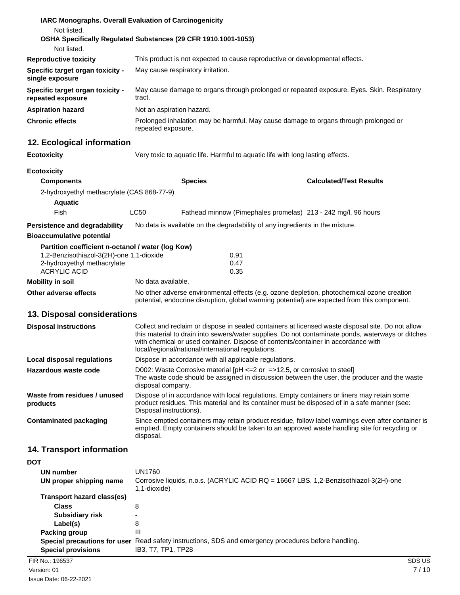| <b>IARC Monographs. Overall Evaluation of Carcinogenicity</b> |                                                                                                            |
|---------------------------------------------------------------|------------------------------------------------------------------------------------------------------------|
| Not listed.                                                   |                                                                                                            |
|                                                               | OSHA Specifically Regulated Substances (29 CFR 1910.1001-1053)                                             |
| Not listed.                                                   |                                                                                                            |
| <b>Reproductive toxicity</b>                                  | This product is not expected to cause reproductive or developmental effects.                               |
| Specific target organ toxicity -<br>single exposure           | May cause respiratory irritation.                                                                          |
| Specific target organ toxicity -<br>repeated exposure         | May cause damage to organs through prolonged or repeated exposure. Eyes. Skin. Respiratory<br>tract.       |
| <b>Aspiration hazard</b>                                      | Not an aspiration hazard.                                                                                  |
| <b>Chronic effects</b>                                        | Prolonged inhalation may be harmful. May cause damage to organs through prolonged or<br>repeated exposure. |

## **12. Ecological information**

**Ecotoxicity** Very toxic to aquatic life. Harmful to aquatic life with long lasting effects.

### **Ecotoxicity**

| <b>Components</b>                                                 |                    | <b>Species</b>                                                               | <b>Calculated/Test Results</b>                                                                                                                                                             |  |
|-------------------------------------------------------------------|--------------------|------------------------------------------------------------------------------|--------------------------------------------------------------------------------------------------------------------------------------------------------------------------------------------|--|
| 2-hydroxyethyl methacrylate (CAS 868-77-9)                        |                    |                                                                              |                                                                                                                                                                                            |  |
| <b>Aquatic</b>                                                    |                    |                                                                              |                                                                                                                                                                                            |  |
| Fish                                                              | LC50               |                                                                              | Fathead minnow (Pimephales promelas) 213 - 242 mg/l, 96 hours                                                                                                                              |  |
| Persistence and degradability<br><b>Bioaccumulative potential</b> |                    | No data is available on the degradability of any ingredients in the mixture. |                                                                                                                                                                                            |  |
| Partition coefficient n-octanol / water (log Kow)                 |                    |                                                                              |                                                                                                                                                                                            |  |
| 1,2-Benzisothiazol-3(2H)-one 1,1-dioxide                          |                    | 0.91                                                                         |                                                                                                                                                                                            |  |
| 2-hydroxyethyl methacrylate                                       |                    | 0.47                                                                         |                                                                                                                                                                                            |  |
| ACRYLIC ACID                                                      |                    | 0.35                                                                         |                                                                                                                                                                                            |  |
| Mobility in soil                                                  | No data available. |                                                                              |                                                                                                                                                                                            |  |
| Other adverse effects                                             |                    |                                                                              | No other adverse environmental effects (e.g. ozone depletion, photochemical ozone creation<br>potential, endocrine disruption, global warming potential) are expected from this component. |  |

### **13. Disposal considerations**

| <b>Disposal instructions</b>             | Collect and reclaim or dispose in sealed containers at licensed waste disposal site. Do not allow<br>this material to drain into sewers/water supplies. Do not contaminate ponds, waterways or ditches<br>with chemical or used container. Dispose of contents/container in accordance with<br>local/regional/national/international regulations. |
|------------------------------------------|---------------------------------------------------------------------------------------------------------------------------------------------------------------------------------------------------------------------------------------------------------------------------------------------------------------------------------------------------|
| Local disposal regulations               | Dispose in accordance with all applicable regulations.                                                                                                                                                                                                                                                                                            |
| Hazardous waste code                     | D002: Waste Corrosive material $[PH \le 2$ or $= >12.5$ , or corrosive to steel<br>The waste code should be assigned in discussion between the user, the producer and the waste<br>disposal company.                                                                                                                                              |
| Waste from residues / unused<br>products | Dispose of in accordance with local regulations. Empty containers or liners may retain some<br>product residues. This material and its container must be disposed of in a safe manner (see:<br>Disposal instructions).                                                                                                                            |
| Contaminated packaging                   | Since emptied containers may retain product residue, follow label warnings even after container is<br>emptied. Empty containers should be taken to an approved waste handling site for recycling or<br>disposal.                                                                                                                                  |

## **14. Transport information**

| <b>DOT</b>                 |                                                                                                      |        |
|----------------------------|------------------------------------------------------------------------------------------------------|--------|
| UN number                  | UN1760                                                                                               |        |
| UN proper shipping name    | Corrosive liquids, n.o.s. (ACRYLIC ACID RQ = 16667 LBS, 1,2-Benzisothiazol-3(2H)-one<br>1,1-dioxide) |        |
| Transport hazard class(es) |                                                                                                      |        |
| Class                      | 8                                                                                                    |        |
| <b>Subsidiary risk</b>     | $\overline{\phantom{a}}$                                                                             |        |
| Label(s)                   | 8                                                                                                    |        |
| Packing group              | Ш                                                                                                    |        |
|                            | Special precautions for user Read safety instructions, SDS and emergency procedures before handling. |        |
| <b>Special provisions</b>  | IB3, T7, TP1, TP28                                                                                   |        |
| FIR No.: 196537            |                                                                                                      | SDS US |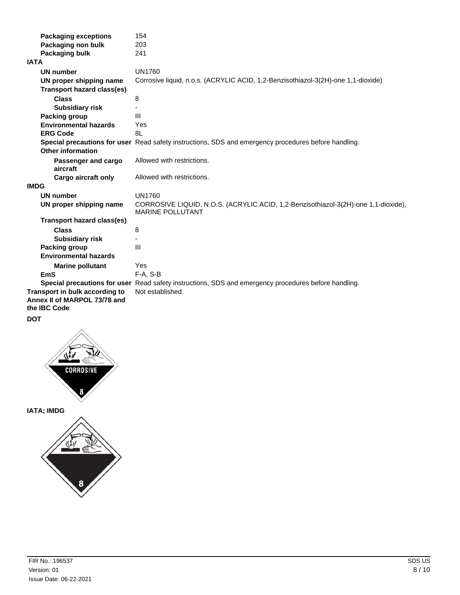| <b>Packaging exceptions</b>                                                    | 154                                                                                                           |
|--------------------------------------------------------------------------------|---------------------------------------------------------------------------------------------------------------|
| Packaging non bulk                                                             | 203                                                                                                           |
| Packaging bulk                                                                 | 241                                                                                                           |
| <b>IATA</b>                                                                    |                                                                                                               |
| <b>UN number</b>                                                               | <b>UN1760</b>                                                                                                 |
| UN proper shipping name                                                        | Corrosive liquid, n.o.s. (ACRYLIC ACID, 1,2-Benzisothiazol-3(2H)-one 1,1-dioxide)                             |
| <b>Transport hazard class(es)</b>                                              |                                                                                                               |
| <b>Class</b>                                                                   | 8                                                                                                             |
| <b>Subsidiary risk</b>                                                         |                                                                                                               |
| Packing group                                                                  | III                                                                                                           |
| <b>Environmental hazards</b>                                                   | Yes                                                                                                           |
| <b>ERG Code</b>                                                                | 8L                                                                                                            |
| Other information                                                              | Special precautions for user Read safety instructions, SDS and emergency procedures before handling.          |
|                                                                                |                                                                                                               |
| Passenger and cargo<br>aircraft                                                | Allowed with restrictions.                                                                                    |
| Cargo aircraft only                                                            | Allowed with restrictions.                                                                                    |
| <b>IMDG</b>                                                                    |                                                                                                               |
| <b>UN number</b>                                                               | <b>UN1760</b>                                                                                                 |
| UN proper shipping name                                                        | CORROSIVE LIQUID, N.O.S. (ACRYLIC ACID, 1,2-Benzisothiazol-3(2H)-one 1,1-dioxide),<br><b>MARINE POLLUTANT</b> |
| <b>Transport hazard class(es)</b>                                              |                                                                                                               |
| <b>Class</b>                                                                   | 8                                                                                                             |
| <b>Subsidiary risk</b>                                                         |                                                                                                               |
| Packing group                                                                  | III                                                                                                           |
| <b>Environmental hazards</b>                                                   |                                                                                                               |
| <b>Marine pollutant</b>                                                        | Yes                                                                                                           |
| <b>EmS</b>                                                                     | $F-A, S-B$                                                                                                    |
|                                                                                | Special precautions for user Read safety instructions, SDS and emergency procedures before handling.          |
| Transport in bulk according to<br>Annex II of MARPOL 73/78 and<br>the IBC Code | Not established.                                                                                              |
| <b>DOT</b>                                                                     |                                                                                                               |



**IATA; IMDG**

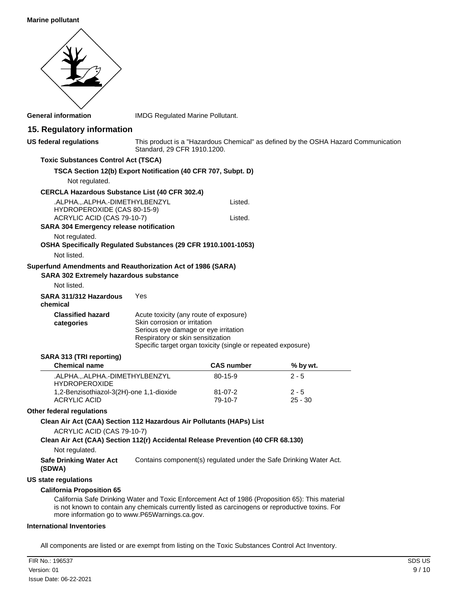#### **Marine pollutant**

| <b>General information</b>                                                                                     | IMDG Regulated Marine Pollutant.                                                                                                                    |                                                                                    |                      |  |
|----------------------------------------------------------------------------------------------------------------|-----------------------------------------------------------------------------------------------------------------------------------------------------|------------------------------------------------------------------------------------|----------------------|--|
| 15. Regulatory information                                                                                     |                                                                                                                                                     |                                                                                    |                      |  |
| <b>US federal regulations</b>                                                                                  | Standard, 29 CFR 1910.1200.                                                                                                                         | This product is a "Hazardous Chemical" as defined by the OSHA Hazard Communication |                      |  |
| <b>Toxic Substances Control Act (TSCA)</b>                                                                     |                                                                                                                                                     |                                                                                    |                      |  |
| TSCA Section 12(b) Export Notification (40 CFR 707, Subpt. D)                                                  |                                                                                                                                                     |                                                                                    |                      |  |
| Not regulated.                                                                                                 |                                                                                                                                                     |                                                                                    |                      |  |
| <b>CERCLA Hazardous Substance List (40 CFR 302.4)</b>                                                          |                                                                                                                                                     |                                                                                    |                      |  |
| .ALPHA.,.ALPHA.-DIMETHYLBENZYL<br>HYDROPEROXIDE (CAS 80-15-9)                                                  |                                                                                                                                                     | Listed.                                                                            |                      |  |
| ACRYLIC ACID (CAS 79-10-7)<br>SARA 304 Emergency release notification                                          |                                                                                                                                                     | Listed.                                                                            |                      |  |
| Not regulated.<br>OSHA Specifically Regulated Substances (29 CFR 1910.1001-1053)<br>Not listed.                |                                                                                                                                                     |                                                                                    |                      |  |
|                                                                                                                |                                                                                                                                                     |                                                                                    |                      |  |
| Superfund Amendments and Reauthorization Act of 1986 (SARA)<br><b>SARA 302 Extremely hazardous substance</b>   |                                                                                                                                                     |                                                                                    |                      |  |
| Not listed.                                                                                                    |                                                                                                                                                     |                                                                                    |                      |  |
| SARA 311/312 Hazardous<br>chemical                                                                             | Yes                                                                                                                                                 |                                                                                    |                      |  |
| <b>Classified hazard</b><br>categories                                                                         | Acute toxicity (any route of exposure)<br>Skin corrosion or irritation<br>Serious eye damage or eye irritation<br>Respiratory or skin sensitization | Specific target organ toxicity (single or repeated exposure)                       |                      |  |
| SARA 313 (TRI reporting)                                                                                       |                                                                                                                                                     |                                                                                    |                      |  |
| <b>Chemical name</b>                                                                                           |                                                                                                                                                     | <b>CAS number</b>                                                                  | % by wt.             |  |
| .ALPHA.,.ALPHA.-DIMETHYLBENZYL<br><b>HYDROPEROXIDE</b>                                                         |                                                                                                                                                     | 80-15-9                                                                            | 2 - 5                |  |
| 1,2-Benzisothiazol-3(2H)-one 1,1-dioxide<br><b>ACRYLIC ACID</b>                                                |                                                                                                                                                     | 81-07-2<br>79-10-7                                                                 | $2 - 5$<br>$25 - 30$ |  |
| Other federal regulations                                                                                      |                                                                                                                                                     |                                                                                    |                      |  |
| Clean Air Act (CAA) Section 112 Hazardous Air Pollutants (HAPs) List                                           |                                                                                                                                                     |                                                                                    |                      |  |
| ACRYLIC ACID (CAS 79-10-7)<br>Clean Air Act (CAA) Section 112(r) Accidental Release Prevention (40 CFR 68.130) |                                                                                                                                                     |                                                                                    |                      |  |
| Not regulated.                                                                                                 |                                                                                                                                                     |                                                                                    |                      |  |
| <b>Safe Drinking Water Act</b><br>(SDWA)                                                                       |                                                                                                                                                     | Contains component(s) regulated under the Safe Drinking Water Act.                 |                      |  |

#### **US state regulations**

#### **California Proposition 65**

California Safe Drinking Water and Toxic Enforcement Act of 1986 (Proposition 65): This material is not known to contain any chemicals currently listed as carcinogens or reproductive toxins. For more information go to www.P65Warnings.ca.gov.

#### **International Inventories**

All components are listed or are exempt from listing on the Toxic Substances Control Act Inventory.